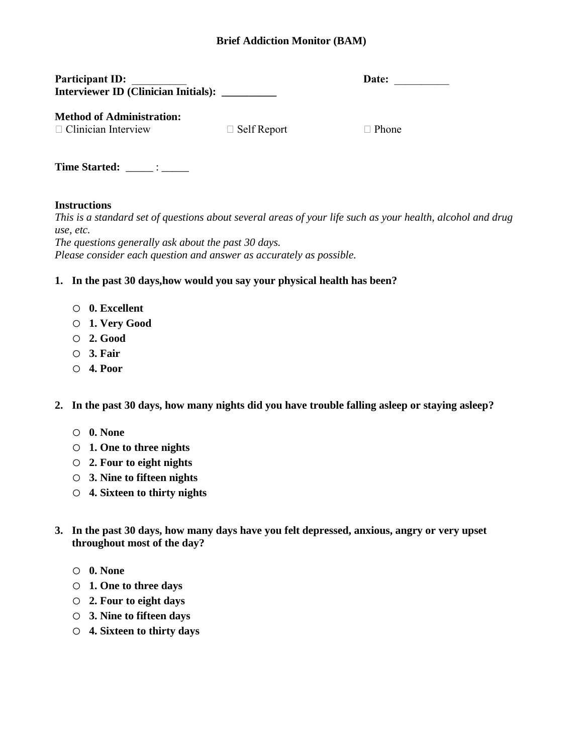## **Brief Addiction Monitor (BAM)**

| <b>Participant ID:</b>                      | Date: |  |
|---------------------------------------------|-------|--|
| <b>Interviewer ID (Clinician Initials):</b> |       |  |

| Date: |  |
|-------|--|
|       |  |

**Method of Administration:**

 $\Box$  Clinician Interview  $\Box$  Self Report  $\Box$  Phone

**Time Started:** \_\_\_\_\_\_ : \_\_\_\_\_

## **Instructions**

*This is a standard set of questions about several areas of your life such as your health, alcohol and drug use, etc.*

*The questions generally ask about the past 30 days. Please consider each question and answer as accurately as possible.*

## **1. In the past 30 days,how would you say your physical health has been?**

- o **0. Excellent**
- o **1. Very Good**
- o **2. Good**
- o **3. Fair**
- o **4. Poor**

**2. In the past 30 days, how many nights did you have trouble falling asleep or staying asleep?**

- o **0. None**
- o **1. One to three nights**
- o **2. Four to eight nights**
- o **3. Nine to fifteen nights**
- o **4. Sixteen to thirty nights**
- **3. In the past 30 days, how many days have you felt depressed, anxious, angry or very upset throughout most of the day?** 
	- o **0. None**
	- o **1. One to three days**
	- o **2. Four to eight days**
	- o **3. Nine to fifteen days**
	- o **4. Sixteen to thirty days**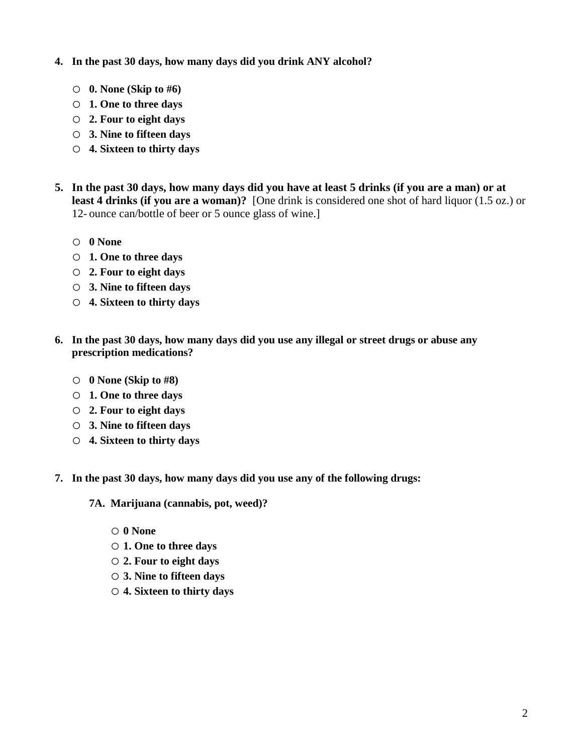## **4. In the past 30 days, how many days did you drink ANY alcohol?**

- o **0. None (Skip to #6)**
- o **1. One to three days**
- o **2. Four to eight days**
- o **3. Nine to fifteen days**
- o **4. Sixteen to thirty days**
- **5. In the past 30 days, how many days did you have at least 5 drinks (if you are a man) or at least 4 drinks (if you are a woman)?** [One drink is considered one shot of hard liquor (1.5 oz.) or 12- ounce can/bottle of beer or 5 ounce glass of wine.]
	- o **0 None**
	- o **1. One to three days**
	- o **2. Four to eight days**
	- o **3. Nine to fifteen days**
	- o **4. Sixteen to thirty days**
- **6. In the past 30 days, how many days did you use any illegal or street drugs or abuse any prescription medications?**
	- o **0 None (Skip to #8)**
	- o **1. One to three days**
	- o **2. Four to eight days**
	- o **3. Nine to fifteen days**
	- o **4. Sixteen to thirty days**
- **7. In the past 30 days, how many days did you use any of the following drugs:**

**7A. Marijuana (cannabis, pot, weed)?**

- o **0 None**
- o **1. One to three days**
- o **2. Four to eight days**
- o **3. Nine to fifteen days**
- o **4. Sixteen to thirty days**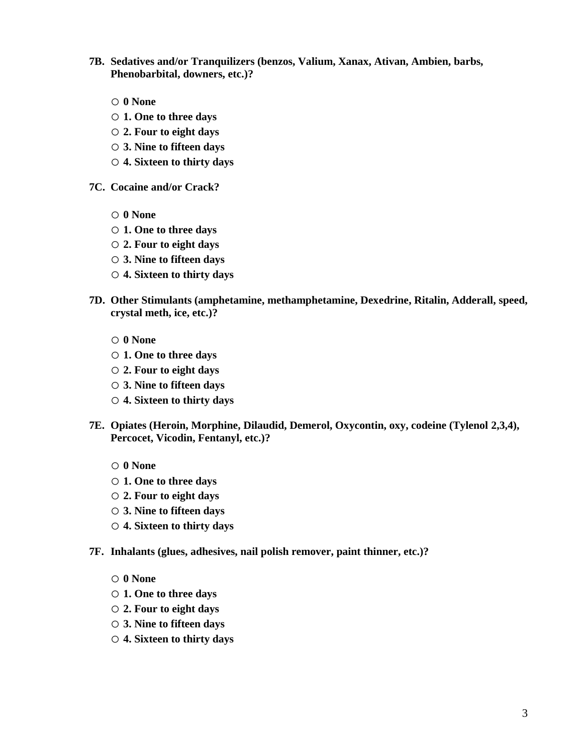- **7B. Sedatives and/or Tranquilizers (benzos, Valium, Xanax, Ativan, Ambien, barbs, Phenobarbital, downers, etc.)?**
	- o **0 None**
	- o **1. One to three days**
	- o **2. Four to eight days**
	- o **3. Nine to fifteen days**
	- o **4. Sixteen to thirty days**
- **7C. Cocaine and/or Crack?**
	- o **0 None**
	- o **1. One to three days**
	- o **2. Four to eight days**
	- o **3. Nine to fifteen days**
	- o **4. Sixteen to thirty days**
- **7D. Other Stimulants (amphetamine, methamphetamine, Dexedrine, Ritalin, Adderall, speed, crystal meth, ice, etc.)?**
	- o **0 None**
	- o **1. One to three days**
	- o **2. Four to eight days**
	- o **3. Nine to fifteen days**
	- o **4. Sixteen to thirty days**
- **7E. Opiates (Heroin, Morphine, Dilaudid, Demerol, Oxycontin, oxy, codeine (Tylenol 2,3,4), Percocet, Vicodin, Fentanyl, etc.)?**
	- o **0 None**
	- o **1. One to three days**
	- o **2. Four to eight days**
	- o **3. Nine to fifteen days**
	- o **4. Sixteen to thirty days**
- **7F. Inhalants (glues, adhesives, nail polish remover, paint thinner, etc.)?**
	- o **0 None**
	- o **1. One to three days**
	- o **2. Four to eight days**
	- o **3. Nine to fifteen days**
	- o **4. Sixteen to thirty days**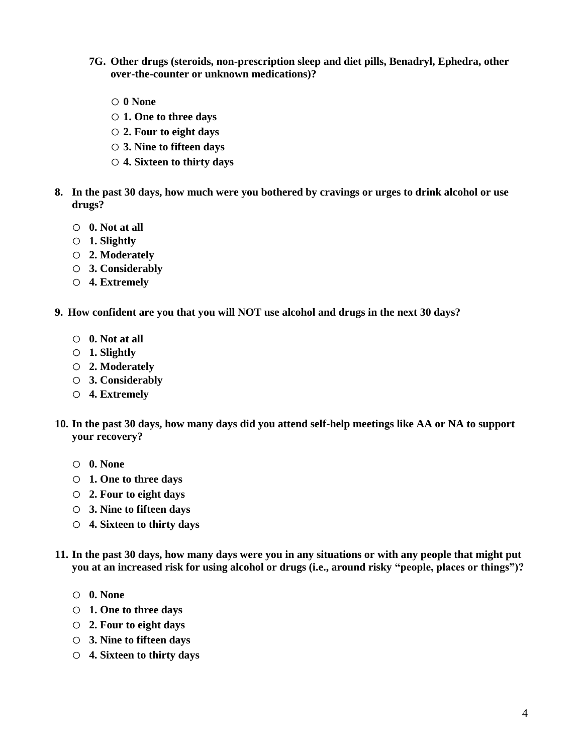- **7G. Other drugs (steroids, non-prescription sleep and diet pills, Benadryl, Ephedra, other over-the-counter or unknown medications)?**
	- o **0 None**
	- o **1. One to three days**
	- o **2. Four to eight days**
	- o **3. Nine to fifteen days**
	- o **4. Sixteen to thirty days**
- **8. In the past 30 days, how much were you bothered by cravings or urges to drink alcohol or use drugs?**
	- o **0. Not at all**
	- o **1. Slightly**
	- o **2. Moderately**
	- o **3. Considerably**
	- o **4. Extremely**
- **9. How confident are you that you will NOT use alcohol and drugs in the next 30 days?**
	- o **0. Not at all**
	- o **1. Slightly**
	- o **2. Moderately**
	- o **3. Considerably**
	- o **4. Extremely**
- **10. In the past 30 days, how many days did you attend self-help meetings like AA or NA to support your recovery?**
	- o **0. None**
	- o **1. One to three days**
	- o **2. Four to eight days**
	- o **3. Nine to fifteen days**
	- o **4. Sixteen to thirty days**
- **11. In the past 30 days, how many days were you in any situations or with any people that might put you at an increased risk for using alcohol or drugs (i.e., around risky "people, places or things")?**
	- o **0. None**
	- o **1. One to three days**
	- o **2. Four to eight days**
	- o **3. Nine to fifteen days**
	- o **4. Sixteen to thirty days**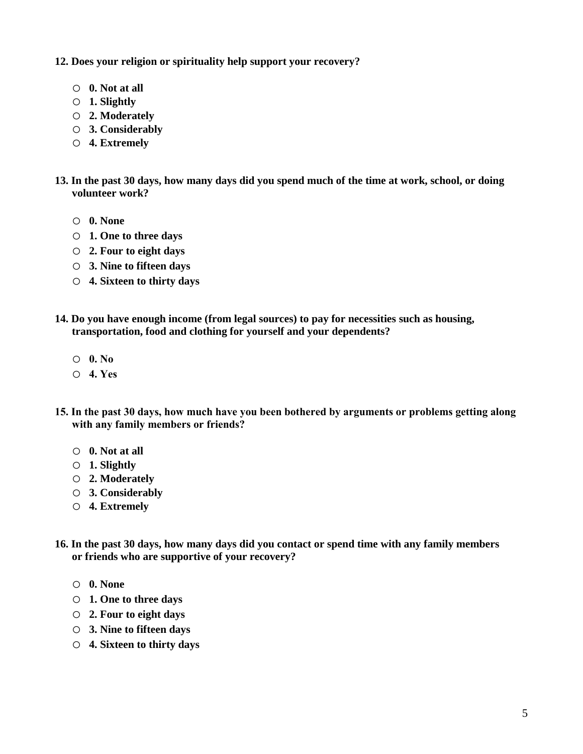**12. Does your religion or spirituality help support your recovery?**

- o **0. Not at all**
- o **1. Slightly**
- o **2. Moderately**
- o **3. Considerably**
- o **4. Extremely**
- **13. In the past 30 days, how many days did you spend much of the time at work, school, or doing volunteer work?**
	- o **0. None**
	- o **1. One to three days**
	- o **2. Four to eight days**
	- o **3. Nine to fifteen days**
	- o **4. Sixteen to thirty days**
- **14. Do you have enough income (from legal sources) to pay for necessities such as housing, transportation, food and clothing for yourself and your dependents?**
	- o **0. No**
	- o **4. Yes**
- **15. In the past 30 days, how much have you been bothered by arguments or problems getting along with any family members or friends?**
	- o **0. Not at all**
	- o **1. Slightly**
	- o **2. Moderately**
	- o **3. Considerably**
	- o **4. Extremely**
- **16. In the past 30 days, how many days did you contact or spend time with any family members or friends who are supportive of your recovery?**
	- o **0. None**
	- o **1. One to three days**
	- o **2. Four to eight days**
	- o **3. Nine to fifteen days**
	- o **4. Sixteen to thirty days**